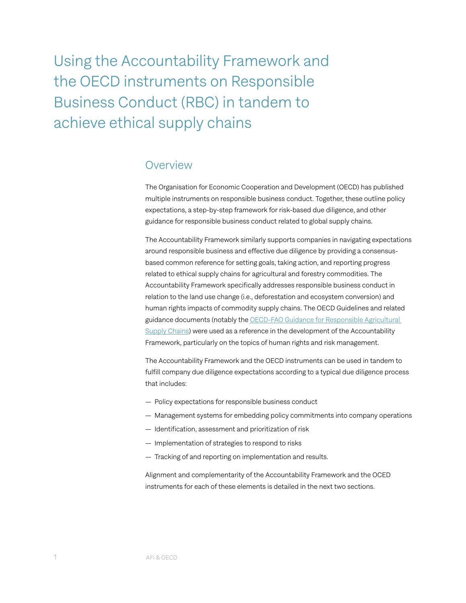Using the Accountability Framework and the OECD instruments on Responsible Business Conduct (RBC) in tandem to achieve ethical supply chains

### **Overview**

The Organisation for Economic Cooperation and Development (OECD) has published multiple instruments on responsible business conduct. Together, these outline policy expectations, a step-by-step framework for risk-based due diligence, and other guidance for responsible business conduct related to global supply chains.

The Accountability Framework similarly supports companies in navigating expectations around responsible business and effective due diligence by providing a consensusbased common reference for setting goals, taking action, and reporting progress related to ethical supply chains for agricultural and forestry commodities. The Accountability Framework specifically addresses responsible business conduct in relation to the land use change (i.e., deforestation and ecosystem conversion) and human rights impacts of commodity supply chains. The OECD Guidelines and related guidance documents (notably the [OECD-FAO Guidance for Responsible Agricultural](https://www.fao.org/fileadmin/templates/est/Investment/oecd-fao-guidance.pdf)  [Supply Chains](https://www.fao.org/fileadmin/templates/est/Investment/oecd-fao-guidance.pdf)) were used as a reference in the development of the Accountability Framework, particularly on the topics of human rights and risk management.

The Accountability Framework and the OECD instruments can be used in tandem to fulfill company due diligence expectations according to a typical due diligence process that includes:

- Policy expectations for responsible business conduct
- Management systems for embedding policy commitments into company operations
- Identification, assessment and prioritization of risk
- Implementation of strategies to respond to risks
- Tracking of and reporting on implementation and results.

Alignment and complementarity of the Accountability Framework and the OCED instruments for each of these elements is detailed in the next two sections.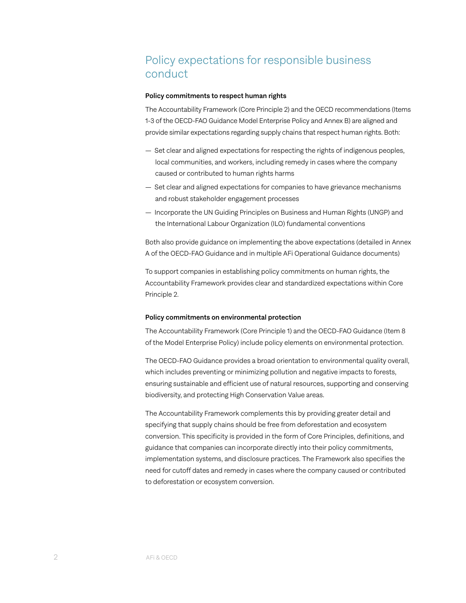# Policy expectations for responsible business conduct

#### Policy commitments to respect human rights

The Accountability Framework (Core Principle 2) and the OECD recommendations (Items 1-3 of the OECD-FAO Guidance Model Enterprise Policy and Annex B) are aligned and provide similar expectations regarding supply chains that respect human rights. Both:

- Set clear and aligned expectations for respecting the rights of indigenous peoples, local communities, and workers, including remedy in cases where the company caused or contributed to human rights harms
- Set clear and aligned expectations for companies to have grievance mechanisms and robust stakeholder engagement processes
- Incorporate the UN Guiding Principles on Business and Human Rights (UNGP) and the International Labour Organization (ILO) fundamental conventions

Both also provide guidance on implementing the above expectations (detailed in Annex A of the OECD-FAO Guidance and in multiple AFi Operational Guidance documents)

To support companies in establishing policy commitments on human rights, the Accountability Framework provides clear and standardized expectations within Core Principle 2.

#### Policy commitments on environmental protection

The Accountability Framework (Core Principle 1) and the OECD-FAO Guidance (Item 8 of the Model Enterprise Policy) include policy elements on environmental protection.

The OECD-FAO Guidance provides a broad orientation to environmental quality overall, which includes preventing or minimizing pollution and negative impacts to forests, ensuring sustainable and efficient use of natural resources, supporting and conserving biodiversity, and protecting High Conservation Value areas.

The Accountability Framework complements this by providing greater detail and specifying that supply chains should be free from deforestation and ecosystem conversion. This specificity is provided in the form of Core Principles, definitions, and guidance that companies can incorporate directly into their policy commitments, implementation systems, and disclosure practices. The Framework also specifies the need for cutoff dates and remedy in cases where the company caused or contributed to deforestation or ecosystem conversion.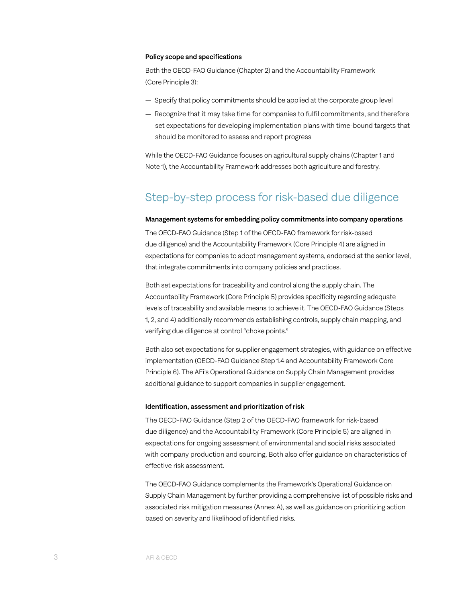#### Policy scope and specifications

Both the OECD-FAO Guidance (Chapter 2) and the Accountability Framework (Core Principle 3):

- Specify that policy commitments should be applied at the corporate group level
- Recognize that it may take time for companies to fulfil commitments, and therefore set expectations for developing implementation plans with time-bound targets that should be monitored to assess and report progress

While the OECD-FAO Guidance focuses on agricultural supply chains (Chapter 1 and Note 1), the Accountability Framework addresses both agriculture and forestry.

## Step-by-step process for risk-based due diligence

#### Management systems for embedding policy commitments into company operations

The OECD-FAO Guidance (Step 1 of the OECD-FAO framework for risk-based due diligence) and the Accountability Framework (Core Principle 4) are aligned in expectations for companies to adopt management systems, endorsed at the senior level, that integrate commitments into company policies and practices.

Both set expectations for traceability and control along the supply chain. The Accountability Framework (Core Principle 5) provides specificity regarding adequate levels of traceability and available means to achieve it. The OECD-FAO Guidance (Steps 1, 2, and 4) additionally recommends establishing controls, supply chain mapping, and verifying due diligence at control "choke points."

Both also set expectations for supplier engagement strategies, with guidance on effective implementation (OECD-FAO Guidance Step 1.4 and Accountability Framework Core Principle 6). The AFi's Operational Guidance on Supply Chain Management provides additional guidance to support companies in supplier engagement.

#### Identification, assessment and prioritization of risk

The OECD-FAO Guidance (Step 2 of the OECD-FAO framework for risk-based due diligence) and the Accountability Framework (Core Principle 5) are aligned in expectations for ongoing assessment of environmental and social risks associated with company production and sourcing. Both also offer guidance on characteristics of effective risk assessment.

The OECD-FAO Guidance complements the Framework's Operational Guidance on Supply Chain Management by further providing a comprehensive list of possible risks and associated risk mitigation measures (Annex A), as well as guidance on prioritizing action based on severity and likelihood of identified risks.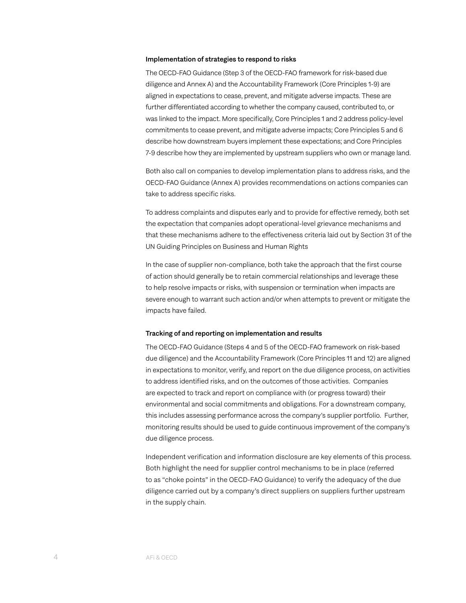#### Implementation of strategies to respond to risks

The OECD-FAO Guidance (Step 3 of the OECD-FAO framework for risk-based due diligence and Annex A) and the Accountability Framework (Core Principles 1-9) are aligned in expectations to cease, prevent, and mitigate adverse impacts. These are further differentiated according to whether the company caused, contributed to, or was linked to the impact. More specifically, Core Principles 1 and 2 address policy-level commitments to cease prevent, and mitigate adverse impacts; Core Principles 5 and 6 describe how downstream buyers implement these expectations; and Core Principles 7-9 describe how they are implemented by upstream suppliers who own or manage land.

Both also call on companies to develop implementation plans to address risks, and the OECD-FAO Guidance (Annex A) provides recommendations on actions companies can take to address specific risks.

To address complaints and disputes early and to provide for effective remedy, both set the expectation that companies adopt operational-level grievance mechanisms and that these mechanisms adhere to the effectiveness criteria laid out by Section 31 of the UN Guiding Principles on Business and Human Rights

In the case of supplier non-compliance, both take the approach that the first course of action should generally be to retain commercial relationships and leverage these to help resolve impacts or risks, with suspension or termination when impacts are severe enough to warrant such action and/or when attempts to prevent or mitigate the impacts have failed.

#### Tracking of and reporting on implementation and results

The OECD-FAO Guidance (Steps 4 and 5 of the OECD-FAO framework on risk-based due diligence) and the Accountability Framework (Core Principles 11 and 12) are aligned in expectations to monitor, verify, and report on the due diligence process, on activities to address identified risks, and on the outcomes of those activities. Companies are expected to track and report on compliance with (or progress toward) their environmental and social commitments and obligations. For a downstream company, this includes assessing performance across the company's supplier portfolio. Further, monitoring results should be used to guide continuous improvement of the company's due diligence process.

Independent verification and information disclosure are key elements of this process. Both highlight the need for supplier control mechanisms to be in place (referred to as "choke points" in the OECD-FAO Guidance) to verify the adequacy of the due diligence carried out by a company's direct suppliers on suppliers further upstream in the supply chain.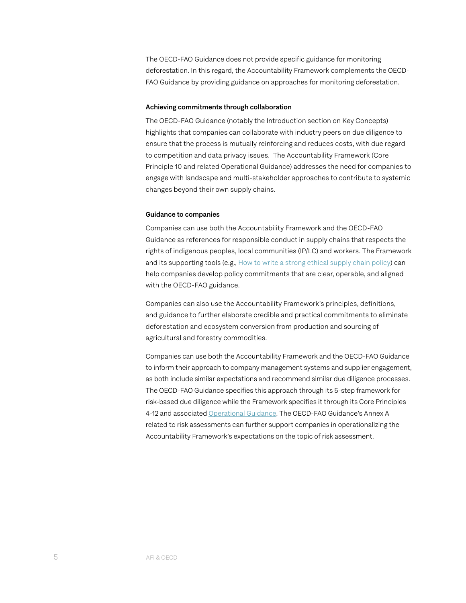The OECD-FAO Guidance does not provide specific guidance for monitoring deforestation. In this regard, the Accountability Framework complements the OECD-FAO Guidance by providing guidance on approaches for monitoring deforestation.

#### Achieving commitments through collaboration

The OECD-FAO Guidance (notably the Introduction section on Key Concepts) highlights that companies can collaborate with industry peers on due diligence to ensure that the process is mutually reinforcing and reduces costs, with due regard to competition and data privacy issues. The Accountability Framework (Core Principle 10 and related Operational Guidance) addresses the need for companies to engage with landscape and multi-stakeholder approaches to contribute to systemic changes beyond their own supply chains.

#### Guidance to companies

Companies can use both the Accountability Framework and the OECD-FAO Guidance as references for responsible conduct in supply chains that respects the rights of indigenous peoples, local communities (IP/LC) and workers. The Framework and its supporting tools (e.g., [How to write a strong ethical supply chain policy](https://accountability-framework.org/how-to-use-it/resources-library/how-to-write-a-strong-ethical-supply-chain-policy/)) can help companies develop policy commitments that are clear, operable, and aligned with the OECD-FAO guidance.

Companies can also use the Accountability Framework's principles, definitions, and guidance to further elaborate credible and practical commitments to eliminate deforestation and ecosystem conversion from production and sourcing of agricultural and forestry commodities.

Companies can use both the Accountability Framework and the OECD-FAO Guidance to inform their approach to company management systems and supplier engagement, as both include similar expectations and recommend similar due diligence processes. The OECD-FAO Guidance specifies this approach through its 5-step framework for risk-based due diligence while the Framework specifies it through its Core Principles 4-12 and associated [Operational Guidance](https://accountability-framework.org/the-framework/contents/operational-guidance/). The OECD-FAO Guidance's Annex A related to risk assessments can further support companies in operationalizing the Accountability Framework's expectations on the topic of risk assessment.